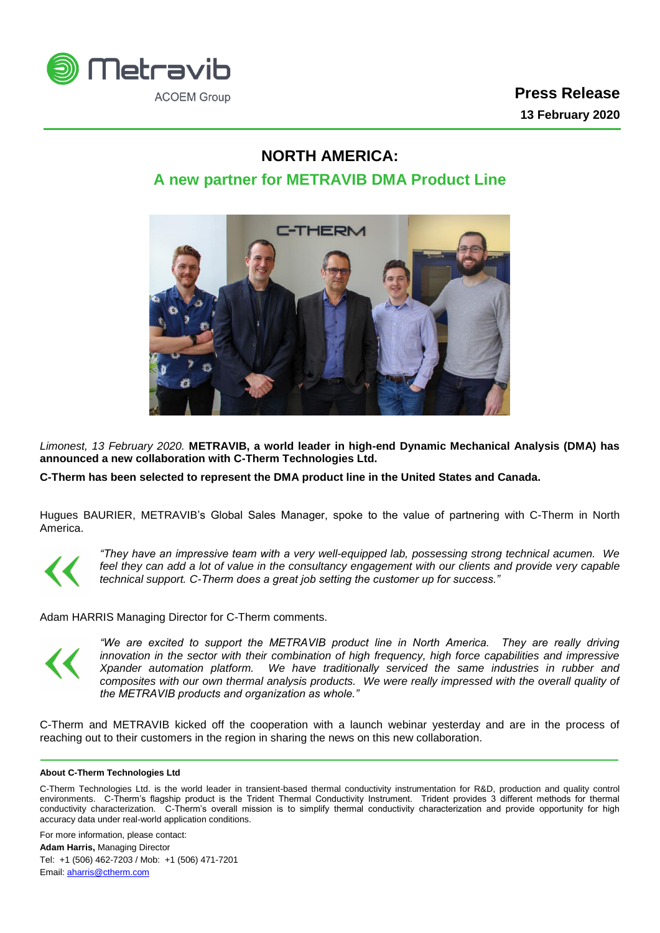

## **NORTH AMERICA:**

## **A new partner for METRAVIB DMA Product Line**



*Limonest, 13 February 2020.* **METRAVIB, a world leader in high-end Dynamic Mechanical Analysis (DMA) has announced a new collaboration with C-Therm Technologies Ltd.** 

**C-Therm has been selected to represent the DMA product line in the United States and Canada.**

Hugues BAURIER, METRAVIB's Global Sales Manager, spoke to the value of partnering with C-Therm in North America.



*"They have an impressive team with a very well-equipped lab, possessing strong technical acumen. We*  feel they can add a lot of value in the consultancy engagement with our clients and provide very capable *technical support. C-Therm does a great job setting the customer up for success."*

Adam HARRIS Managing Director for C-Therm comments.



*"We are excited to support the METRAVIB product line in North America. They are really driving innovation in the sector with their combination of high frequency, high force capabilities and impressive Xpander automation platform. We have traditionally serviced the same industries in rubber and composites with our own thermal analysis products. We were really impressed with the overall quality of the METRAVIB products and organization as whole."* 

C-Therm and METRAVIB kicked off the cooperation with a launch webinar yesterday and are in the process of reaching out to their customers in the region in sharing the news on this new collaboration.

## **About C-Therm Technologies Ltd**

C-Therm Technologies Ltd. is the world leader in transient-based thermal conductivity instrumentation for R&D, production and quality control environments. C-Therm's flagship product is the Trident Thermal Conductivity Instrument. Trident provides 3 different methods for thermal conductivity characterization. C-Therm's overall mission is to simplify thermal conductivity characterization and provide opportunity for high accuracy data under real-world application conditions.

For more information, please contact: **Adam Harris,** Managing Director Tel: +1 (506) 462-7203 / Mob: +1 (506) 471-7201 Email[: aharris@ctherm.com](mailto:aharris@ctherm.com)